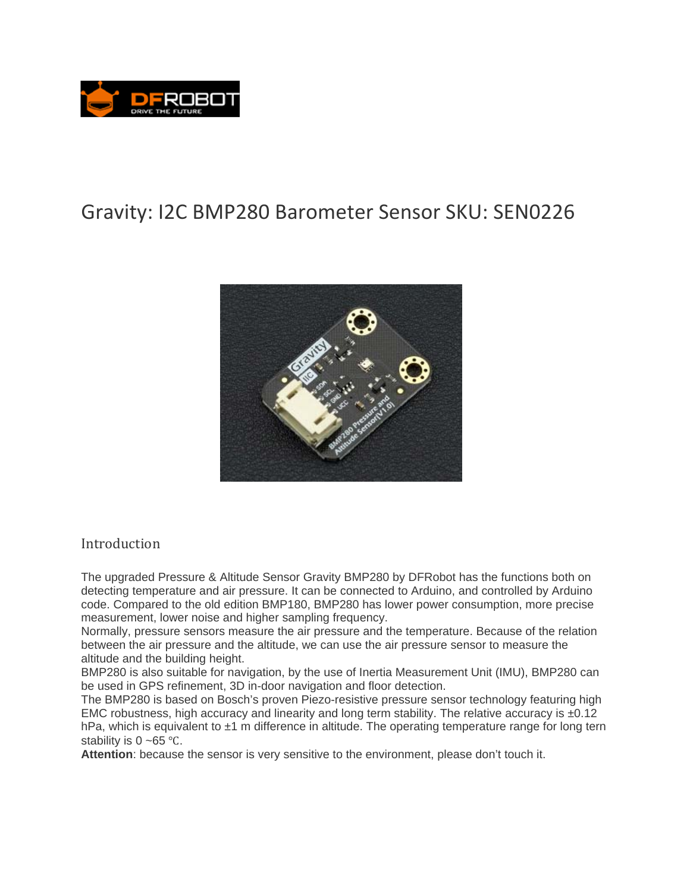

# Gravity: I2C BMP280 Barometer Sensor SKU: SEN0226



# Introduction

The upgraded Pressure & Altitude Sensor Gravity BMP280 by DFRobot has the functions both on detecting temperature and air pressure. It can be connected to Arduino, and controlled by Arduino code. Compared to the old edition BMP180, BMP280 has lower power consumption, more precise measurement, lower noise and higher sampling frequency.

Normally, pressure sensors measure the air pressure and the temperature. Because of the relation between the air pressure and the altitude, we can use the air pressure sensor to measure the altitude and the building height.

BMP280 is also suitable for navigation, by the use of Inertia Measurement Unit (IMU), BMP280 can be used in GPS refinement, 3D in-door navigation and floor detection.

The BMP280 is based on Bosch's proven Piezo-resistive pressure sensor technology featuring high EMC robustness, high accuracy and linearity and long term stability. The relative accuracy is  $\pm 0.12$ hPa, which is equivalent to  $\pm 1$  m difference in altitude. The operating temperature range for long tern stability is  $0 - 65$  °C.

**Attention**: because the sensor is very sensitive to the environment, please don't touch it.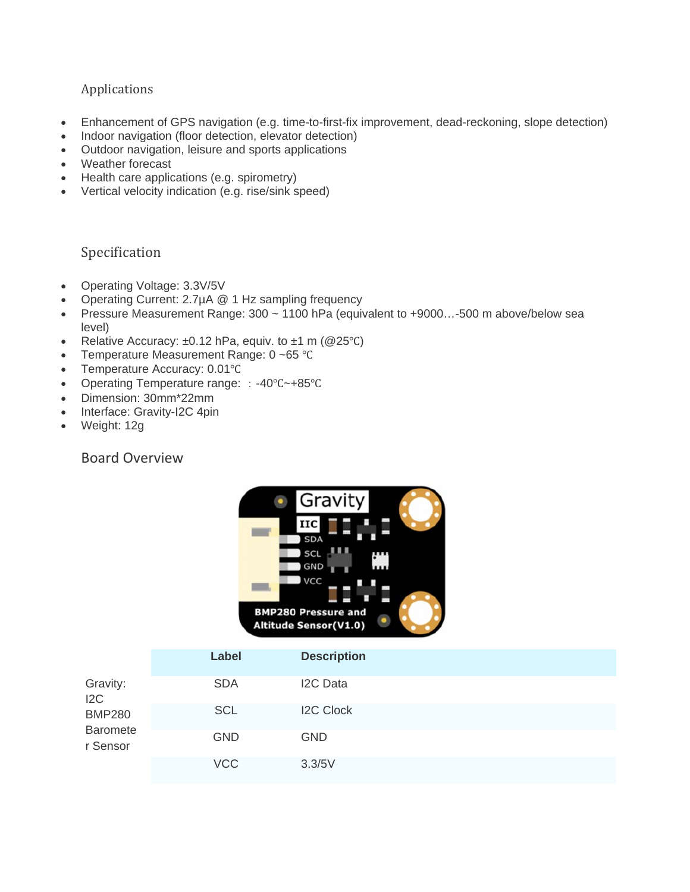# Applications

- Enhancement of GPS navigation (e.g. time-to-first-fix improvement, dead-reckoning, slope detection)
- Indoor navigation (floor detection, elevator detection)
- Outdoor navigation, leisure and sports applications
- Weather forecast
- Health care applications (e.g. spirometry)
- Vertical velocity indication (e.g. rise/sink speed)

# Specification

- Operating Voltage: 3.3V/5V
- Operating Current: 2.7µA @ 1 Hz sampling frequency
- Pressure Measurement Range: 300 ~ 1100 hPa (equivalent to +9000…-500 m above/below sea level)
- Relative Accuracy:  $\pm 0.12$  hPa, equiv. to  $\pm 1$  m (@25 $\degree$ C)
- Temperature Measurement Range: 0 ~65 °C
- Temperature Accuracy: 0.01°C
- Operating Temperature range: : -40°C~+85°C
- Dimension: 30mm\*22mm
- Interface: Gravity-I2C 4pin
- Weight: 12g

Board Overview



|                                                     | Label      | <b>Description</b> |
|-----------------------------------------------------|------------|--------------------|
| Gravity:<br>12C<br><b>BMP280</b><br><b>Baromete</b> | <b>SDA</b> | I2C Data           |
|                                                     | <b>SCL</b> | <b>I2C Clock</b>   |
| r Sensor                                            | <b>GND</b> | <b>GND</b>         |
|                                                     | <b>VCC</b> | 3.3/5V             |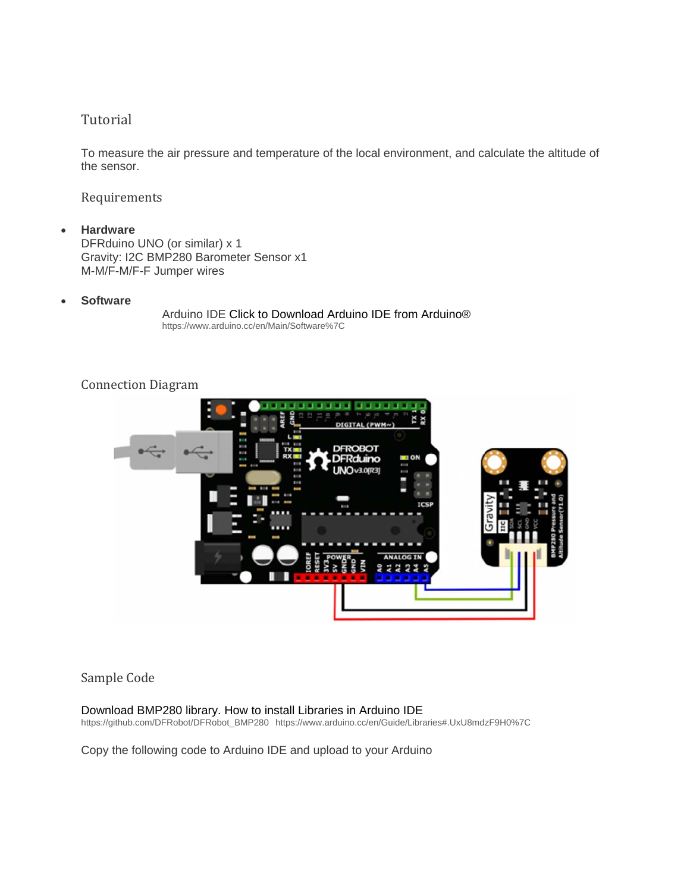# Tutorial

To measure the air pressure and temperature of the local environment, and calculate the altitude of the sensor.

#### Requirements

 **Hardware** DFRduino UNO (or similar) x 1 Gravity: I2C BMP280 Barometer Sensor x1

M-M/F-M/F-F Jumper wires

**Software**

Arduino IDE Click to Download Arduino IDE from Arduino® https://www.arduino.cc/en/Main/Software%7C

# **OBOT** duino  $Ov300R3$ ICS 222 o

# Connection Diagram

# Sample Code

Download BMP280 library. How to install Libraries in Arduino IDE https://github.com/DFRobot/DFRobot\_BMP280 https://www.arduino.cc/en/Guide/Libraries#.UxU8mdzF9H0%7C

Copy the following code to Arduino IDE and upload to your Arduino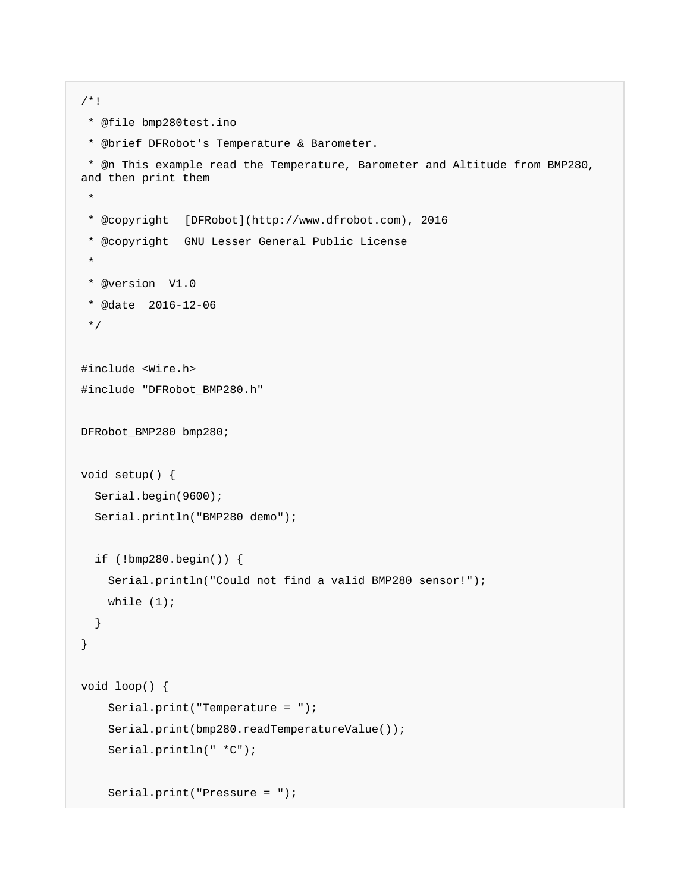```
/*! 
  * @file bmp280test.ino 
 * @brief DFRobot's Temperature & Barometer. 
 * @n This example read the Temperature, Barometer and Altitude from BMP280, 
and then print them 
  * 
  * @copyright [DFRobot](http://www.dfrobot.com), 2016 
  * @copyright GNU Lesser General Public License 
 * 
  * @version V1.0 
  * @date 2016-12-06 
  */ 
#include <Wire.h> 
#include "DFRobot_BMP280.h" 
DFRobot_BMP280 bmp280; 
void setup() { 
   Serial.begin(9600); 
   Serial.println("BMP280 demo"); 
   if (!bmp280.begin()) { 
     Serial.println("Could not find a valid BMP280 sensor!"); 
    while (1);
   } 
} 
void loop() { 
     Serial.print("Temperature = "); 
     Serial.print(bmp280.readTemperatureValue()); 
     Serial.println(" *C"); 
     Serial.print("Pressure = ");
```